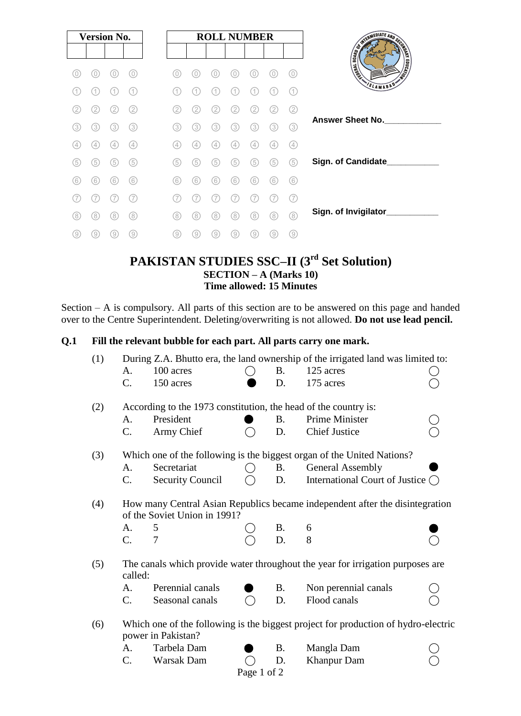| <b>Version No.</b> |     |               |     |     |     | <b>ROLL NUMBER</b> |               |                   |     |     |
|--------------------|-----|---------------|-----|-----|-----|--------------------|---------------|-------------------|-----|-----|
|                    |     |               |     |     |     |                    |               |                   |     |     |
| 0                  | 0)  |               | 0   | (0) | 0   | O                  | O             | 0                 |     | 0   |
| 1.                 | 1   |               | (1) | 11  | 11  | 1                  |               |                   |     | (1  |
| (2)                | 2.  | 2.            | (2) | 2   | 2   | 2                  | 2.            | 2.                | 2   | (2) |
| (3)                | 3)  | 3             | (3) | (3) | (3) | 3                  | 3.            | 3)                | 3   | (3) |
| (4)                | 4   | $\frac{1}{2}$ | (4) | (4) | 4   | $\left( 4\right)$  | $\frac{1}{2}$ | $\left( 4\right)$ | 4   | (4) |
| (5)                | (5) | (5)           | (5) | (5) | (5) | (5)                | (5)           | (5)               | (5) | (5) |
| (6)                | (6) | (6)           | (6) | (6) | (6) | (6)                | (6)           | (6)               | (6) | (6) |
|                    |     |               |     |     |     |                    |               |                   |     | (7  |
| (8)                | 8)  | 8             | (8) | (8) | (8) | (8)                | 8             | (8)               | 8   | (8) |
| 9)                 | 9)  | 9             | 9   | 9)  | 9)  | 9)                 | 9             | (9)               | 9   | 0)  |

# **PAKISTAN STUDIES SSC–II (3 rd Set Solution) SECTION – A (Marks 10) Time allowed: 15 Minutes**

Section – A is compulsory. All parts of this section are to be answered on this page and handed over to the Centre Superintendent. Deleting/overwriting is not allowed. **Do not use lead pencil.**

# **Q.1 Fill the relevant bubble for each part. All parts carry one mark.**

| (1)         | During Z.A. Bhutto era, the land ownership of the irrigated land was limited to:          |                                                                                                              |               |           |                                          |  |  |  |  |  |  |  |
|-------------|-------------------------------------------------------------------------------------------|--------------------------------------------------------------------------------------------------------------|---------------|-----------|------------------------------------------|--|--|--|--|--|--|--|
|             | A.                                                                                        | 100 acres                                                                                                    |               | <b>B.</b> | 125 acres                                |  |  |  |  |  |  |  |
|             | $\mathcal{C}$ .                                                                           | 150 acres                                                                                                    |               | D.        | 175 acres                                |  |  |  |  |  |  |  |
| (2)         | According to the 1973 constitution, the head of the country is:                           |                                                                                                              |               |           |                                          |  |  |  |  |  |  |  |
|             | A.                                                                                        | President                                                                                                    |               | <b>B.</b> | Prime Minister                           |  |  |  |  |  |  |  |
|             | C.                                                                                        | Army Chief                                                                                                   |               | D.        | <b>Chief Justice</b>                     |  |  |  |  |  |  |  |
| (3)         | Which one of the following is the biggest organ of the United Nations?                    |                                                                                                              |               |           |                                          |  |  |  |  |  |  |  |
|             | A.                                                                                        | Secretariat                                                                                                  | ( )           | <b>B.</b> | <b>General Assembly</b>                  |  |  |  |  |  |  |  |
|             | $C_{\cdot}$                                                                               | <b>Security Council</b>                                                                                      | $\rightarrow$ | D.        | International Court of Justice $\bigcap$ |  |  |  |  |  |  |  |
| (4)         |                                                                                           | How many Central Asian Republics became independent after the disintegration<br>of the Soviet Union in 1991? |               |           |                                          |  |  |  |  |  |  |  |
|             | A.                                                                                        | 5                                                                                                            |               | <b>B.</b> | 6                                        |  |  |  |  |  |  |  |
|             | $\mathcal{C}$ .                                                                           | 7                                                                                                            |               | D.        | 8                                        |  |  |  |  |  |  |  |
| (5)         | The canals which provide water throughout the year for irrigation purposes are<br>called: |                                                                                                              |               |           |                                          |  |  |  |  |  |  |  |
|             | A.                                                                                        | Perennial canals                                                                                             |               | <b>B.</b> | Non perennial canals                     |  |  |  |  |  |  |  |
|             | $C_{\cdot}$                                                                               | Seasonal canals                                                                                              |               | D.        | Flood canals                             |  |  |  |  |  |  |  |
| (6)         |                                                                                           | Which one of the following is the biggest project for production of hydro-electric<br>power in Pakistan?     |               |           |                                          |  |  |  |  |  |  |  |
|             | A.                                                                                        | Tarbela Dam                                                                                                  |               | <b>B.</b> | Mangla Dam                               |  |  |  |  |  |  |  |
|             | $C_{\cdot}$                                                                               | Warsak Dam                                                                                                   |               | D.        | <b>Khanpur Dam</b>                       |  |  |  |  |  |  |  |
| Page 1 of 2 |                                                                                           |                                                                                                              |               |           |                                          |  |  |  |  |  |  |  |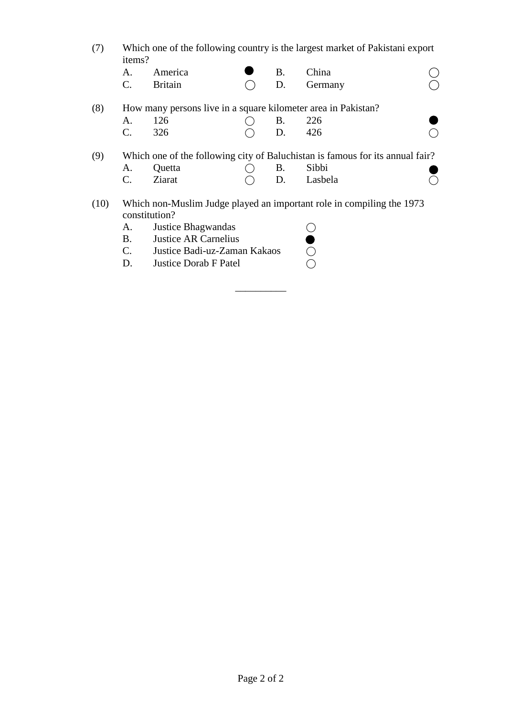- (7) Which one of the following country is the largest market of Pakistani export items?
- A. America  $\bullet$  B. China  $\circ$ C. Britain ( D. Germany (8) How many persons live in a square kilometer area in Pakistan? A. 126 O B. 226 C. 326  $\bigcirc$  D. 426  $\bigcirc$ (9) Which one of the following city of Baluchistan is famous for its annual fair? A. Quetta  $\bigcirc$  B. Sibbi  $C.$  Ziarat  $\bigcirc$  D. Lasbela  $\bigcirc$ (10) Which non-Muslim Judge played an important role in compiling the 1973 constitution? A. Justice Bhagwandas  $\bigcirc$

\_\_\_\_\_\_\_\_\_\_

B. Justice AR Carnelius  $\bullet$ C. Justice Badi-uz-Zaman Kakaos  $\bigcirc$ D. Justice Dorab F Patel  $\bigcirc$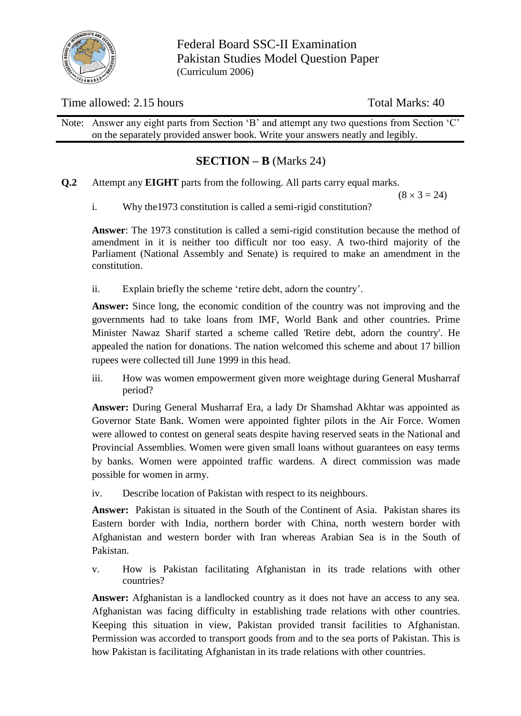

Federal Board SSC-II Examination Pakistan Studies Model Question Paper (Curriculum 2006)

# Time allowed: 2.15 hours Total Marks: 40

Note: Answer any eight parts from Section 'B' and attempt any two questions from Section 'C' on the separately provided answer book. Write your answers neatly and legibly.

# **SECTION – B** (Marks 24)

**Q.2** Attempt any **EIGHT** parts from the following. All parts carry equal marks.

 $(8 \times 3 = 24)$ 

i. Why the1973 constitution is called a semi-rigid constitution?

**Answer**: The 1973 constitution is called a semi-rigid constitution because the method of amendment in it is neither too difficult nor too easy. A two-third majority of the Parliament (National Assembly and Senate) is required to make an amendment in the constitution.

ii. Explain briefly the scheme 'retire debt, adorn the country'.

**Answer:** Since long, the economic condition of the country was not improving and the governments had to take loans from IMF, World Bank and other countries. Prime Minister Nawaz Sharif started a scheme called 'Retire debt, adorn the country'. He appealed the nation for donations. The nation welcomed this scheme and about 17 billion rupees were collected till June 1999 in this head.

iii. How was women empowerment given more weightage during General Musharraf period?

**Answer:** During General Musharraf Era, a lady Dr Shamshad Akhtar was appointed as Governor State Bank. Women were appointed fighter pilots in the Air Force. Women were allowed to contest on general seats despite having reserved seats in the National and Provincial Assemblies. Women were given small loans without guarantees on easy terms by banks. Women were appointed traffic wardens. A direct commission was made possible for women in army.

iv. Describe location of Pakistan with respect to its neighbours.

**Answer:** Pakistan is situated in the South of the Continent of Asia. Pakistan shares its Eastern border with India, northern border with China, north western border with Afghanistan and western border with Iran whereas Arabian Sea is in the South of Pakistan.

v. How is Pakistan facilitating Afghanistan in its trade relations with other countries?

Answer: Afghanistan is a landlocked country as it does not have an access to any sea. Afghanistan was facing difficulty in establishing trade relations with other countries. Keeping this situation in view, Pakistan provided transit facilities to Afghanistan. Permission was accorded to transport goods from and to the sea ports of Pakistan. This is how Pakistan is facilitating Afghanistan in its trade relations with other countries.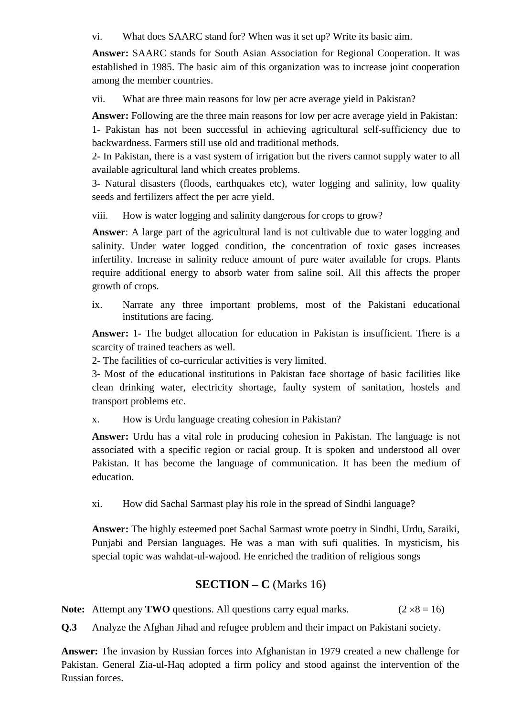vi. What does SAARC stand for? When was it set up? Write its basic aim.

**Answer:** SAARC stands for South Asian Association for Regional Cooperation. It was established in 1985. The basic aim of this organization was to increase joint cooperation among the member countries.

vii. What are three main reasons for low per acre average yield in Pakistan?

**Answer:** Following are the three main reasons for low per acre average yield in Pakistan: 1- Pakistan has not been successful in achieving agricultural self-sufficiency due to backwardness. Farmers still use old and traditional methods.

2- In Pakistan, there is a vast system of irrigation but the rivers cannot supply water to all available agricultural land which creates problems.

3- Natural disasters (floods, earthquakes etc), water logging and salinity, low quality seeds and fertilizers affect the per acre yield.

viii. How is water logging and salinity dangerous for crops to grow?

**Answer**: A large part of the agricultural land is not cultivable due to water logging and salinity. Under water logged condition, the concentration of toxic gases increases infertility. Increase in salinity reduce amount of pure water available for crops. Plants require additional energy to absorb water from saline soil. All this affects the proper growth of crops.

ix. Narrate any three important problems, most of the Pakistani educational institutions are facing.

**Answer:** 1- The budget allocation for education in Pakistan is insufficient. There is a scarcity of trained teachers as well.

2- The facilities of co-curricular activities is very limited.

3- Most of the educational institutions in Pakistan face shortage of basic facilities like clean drinking water, electricity shortage, faulty system of sanitation, hostels and transport problems etc.

x. How is Urdu language creating cohesion in Pakistan?

**Answer:** Urdu has a vital role in producing cohesion in Pakistan. The language is not associated with a specific region or racial group. It is spoken and understood all over Pakistan. It has become the language of communication. It has been the medium of education.

xi. How did Sachal Sarmast play his role in the spread of Sindhi language?

**Answer:** The highly esteemed poet Sachal Sarmast wrote poetry in Sindhi, Urdu, Saraiki, Punjabi and Persian languages. He was a man with sufi qualities. In mysticism, his special topic was wahdat-ul-wajood. He enriched the tradition of religious songs

# **SECTION – C** (Marks 16)

**Note:** Attempt any **TWO** questions. All questions carry equal marks. ( $2 \times 8 = 16$ )

**Q.3** Analyze the Afghan Jihad and refugee problem and their impact on Pakistani society.

**Answer:** The invasion by Russian forces into Afghanistan in 1979 created a new challenge for Pakistan. General Zia-ul-Haq adopted a firm policy and stood against the intervention of the Russian forces.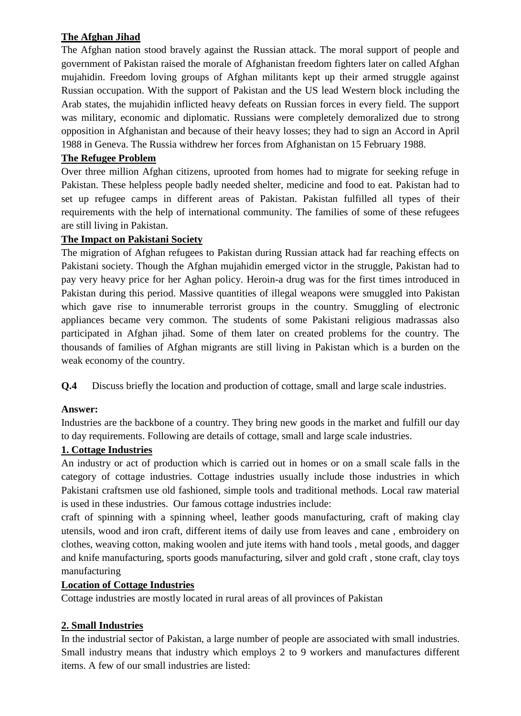# **The Afghan Jihad**

The Afghan nation stood bravely against the Russian attack. The moral support of people and government of Pakistan raised the morale of Afghanistan freedom fighters later on called Afghan mujahidin. Freedom loving groups of Afghan militants kept up their armed struggle against Russian occupation. With the support of Pakistan and the US lead Western block including the Arab states, the mujahidin inflicted heavy defeats on Russian forces in every field. The support was military, economic and diplomatic. Russians were completely demoralized due to strong opposition in Afghanistan and because of their heavy losses; they had to sign an Accord in April 1988 in Geneva. The Russia withdrew her forces from Afghanistan on 15 February 1988.

# **The Refugee Problem**

Over three million Afghan citizens, uprooted from homes had to migrate for seeking refuge in Pakistan. These helpless people badly needed shelter, medicine and food to eat. Pakistan had to set up refugee camps in different areas of Pakistan. Pakistan fulfilled all types of their requirements with the help of international community. The families of some of these refugees are still living in Pakistan.

## **The Impact on Pakistani Society**

The migration of Afghan refugees to Pakistan during Russian attack had far reaching effects on Pakistani society. Though the Afghan mujahidin emerged victor in the struggle, Pakistan had to pay very heavy price for her Aghan policy. Heroin-a drug was for the first times introduced in Pakistan during this period. Massive quantities of illegal weapons were smuggled into Pakistan which gave rise to innumerable terrorist groups in the country. Smuggling of electronic appliances became very common. The students of some Pakistani religious madrassas also participated in Afghan jihad. Some of them later on created problems for the country. The thousands of families of Afghan migrants are still living in Pakistan which is a burden on the weak economy of the country.

**Q.4** Discuss briefly the location and production of cottage, small and large scale industries.

### **Answer:**

Industries are the backbone of a country. They bring new goods in the market and fulfill our day to day requirements. Following are details of cottage, small and large scale industries.

# **1. Cottage Industries**

An industry or act of production which is carried out in homes or on a small scale falls in the category of cottage industries. Cottage industries usually include those industries in which Pakistani craftsmen use old fashioned, simple tools and traditional methods. Local raw material is used in these industries. Our famous cottage industries include:

craft of spinning with a spinning wheel, leather goods manufacturing, craft of making clay utensils, wood and iron craft, different items of daily use from leaves and cane , embroidery on clothes, weaving cotton, making woolen and jute items with hand tools , metal goods, and dagger and knife manufacturing, sports goods manufacturing, silver and gold craft , stone craft, clay toys manufacturing

### **Location of Cottage Industries**

Cottage industries are mostly located in rural areas of all provinces of Pakistan

### **2. Small Industries**

In the industrial sector of Pakistan, a large number of people are associated with small industries. Small industry means that industry which employs 2 to 9 workers and manufactures different items. A few of our small industries are listed: